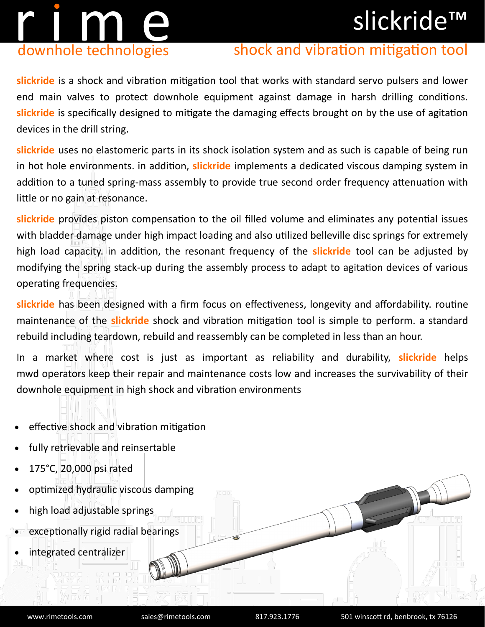### slickride™

# r i m en downhole technologies

#### shock and vibration mitigation tool

**slickride** is a shock and vibration mitigation tool that works with standard servo pulsers and lower end main valves to protect downhole equipment against damage in harsh drilling conditions. **slickride** is specifically designed to mitigate the damaging effects brought on by the use of agitation devices in the drill string.

**slickride** uses no elastomeric parts in its shock isolation system and as such is capable of being run in hot hole environments. in addition, **slickride** implements a dedicated viscous damping system in addition to a tuned spring-mass assembly to provide true second order frequency attenuation with little or no gain at resonance.

**slickride** provides piston compensation to the oil filled volume and eliminates any potential issues with bladder damage under high impact loading and also utilized belleville disc springs for extremely high load capacity. in addition, the resonant frequency of the **slickride** tool can be adjusted by modifying the spring stack-up during the assembly process to adapt to agitation devices of various operating frequencies.

**slickride** has been designed with a firm focus on effectiveness, longevity and affordability. routine maintenance of the **slickride** shock and vibration mitigation tool is simple to perform. a standard rebuild including teardown, rebuild and reassembly can be completed in less than an hour.

In a market where cost is just as important as reliability and durability, **slickride** helps mwd operators keep their repair and maintenance costs low and increases the survivability of their downhole equipment in high shock and vibration environments

- effective shock and vibration mitigation
- fully retrievable and reinsertable
- 175°C, 20,000 psi rated
- optimized hydraulic viscous damping
- high load adjustable springs
- exceptionally rigid radial bearings
- integrated centralizer